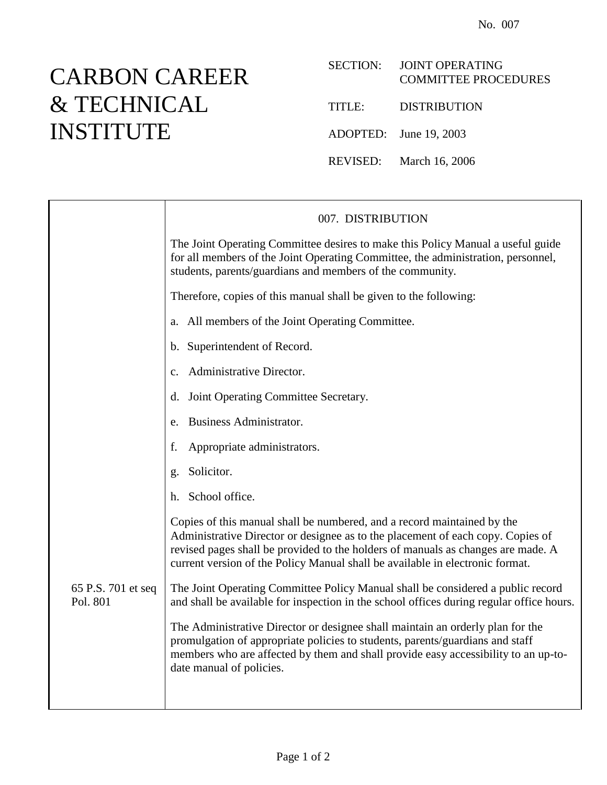## CARBON CAREER & TECHNICAL INSTITUTE

## SECTION: JOINT OPERATING COMMITTEE PROCEDURES

TITLE: DISTRIBUTION

ADOPTED: June 19, 2003

REVISED: March 16, 2006

|                                | 007. DISTRIBUTION                                                                                                                                                                                                                                                                                                               |
|--------------------------------|---------------------------------------------------------------------------------------------------------------------------------------------------------------------------------------------------------------------------------------------------------------------------------------------------------------------------------|
|                                | The Joint Operating Committee desires to make this Policy Manual a useful guide<br>for all members of the Joint Operating Committee, the administration, personnel,<br>students, parents/guardians and members of the community.                                                                                                |
|                                | Therefore, copies of this manual shall be given to the following:                                                                                                                                                                                                                                                               |
|                                | a. All members of the Joint Operating Committee.                                                                                                                                                                                                                                                                                |
|                                | b. Superintendent of Record.                                                                                                                                                                                                                                                                                                    |
|                                | Administrative Director.<br>$\mathbf{C}$ .                                                                                                                                                                                                                                                                                      |
|                                | Joint Operating Committee Secretary.<br>d.                                                                                                                                                                                                                                                                                      |
|                                | Business Administrator.<br>e.                                                                                                                                                                                                                                                                                                   |
|                                | Appropriate administrators.<br>f.                                                                                                                                                                                                                                                                                               |
|                                | Solicitor.<br>g.                                                                                                                                                                                                                                                                                                                |
|                                | School office.<br>h.                                                                                                                                                                                                                                                                                                            |
|                                | Copies of this manual shall be numbered, and a record maintained by the<br>Administrative Director or designee as to the placement of each copy. Copies of<br>revised pages shall be provided to the holders of manuals as changes are made. A<br>current version of the Policy Manual shall be available in electronic format. |
| 65 P.S. 701 et seq<br>Pol. 801 | The Joint Operating Committee Policy Manual shall be considered a public record<br>and shall be available for inspection in the school offices during regular office hours.                                                                                                                                                     |
|                                | The Administrative Director or designee shall maintain an orderly plan for the<br>promulgation of appropriate policies to students, parents/guardians and staff<br>members who are affected by them and shall provide easy accessibility to an up-to-<br>date manual of policies.                                               |
|                                |                                                                                                                                                                                                                                                                                                                                 |